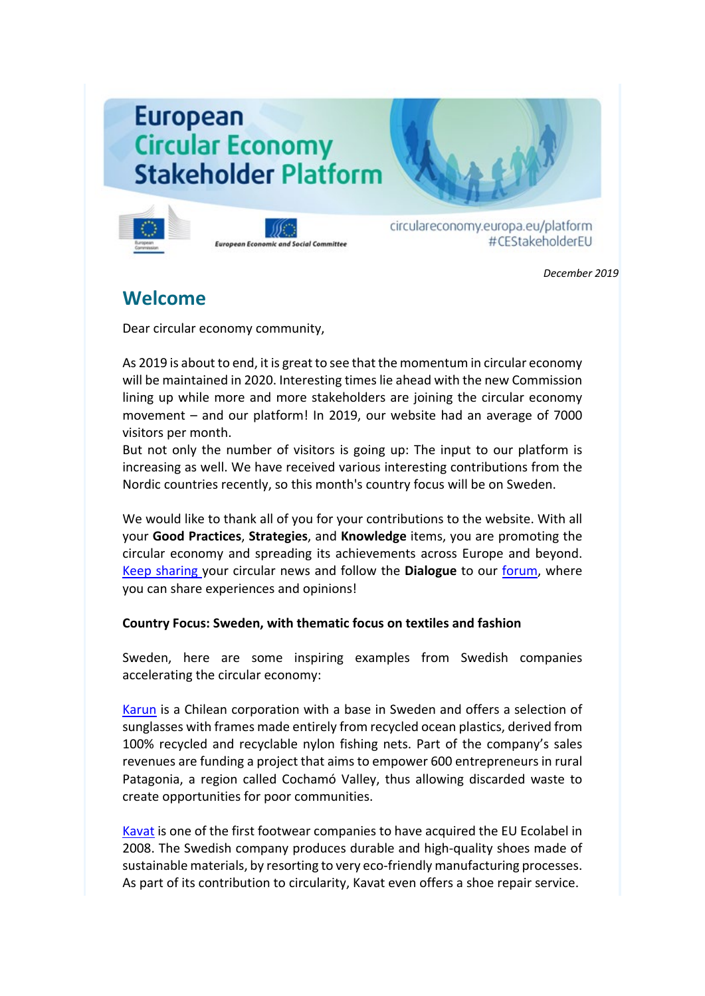# **European Circular Economy Stakeholder Platform**





circulareconomy.europa.eu/platform #CEStakeholderEU

*December 2019*

## **Welcome**

Dear circular economy community,

As 2019 is about to end, it is great to see that the momentum in circular economy will be maintained in 2020. Interesting times lie ahead with the new Commission lining up while more and more stakeholders are joining the circular economy movement – and our platform! In 2019, our website had an average of 7000 visitors per month.

But not only the number of visitors is going up: The input to our platform is increasing as well. We have received various interesting contributions from the Nordic countries recently, so this month's country focus will be on Sweden.

We would like to thank all of you for your contributions to the website. With all your **Good Practices**, **Strategies**, and **Knowledge** items, you are promoting the circular economy and spreading its achievements across Europe and beyond. [Keep sharing y](http://cdlink2.eesc.europa.eu/c/4/?T=NzYyODI4NzE%3AcDEtYjE5MzE3LTZhMWVkODFjYmNjNjRlMzk4NTU3OWRjYTQ5NTM1M2Y0%3AYW5uYS5jYW1lcm9uQGVlc2MuZXVyb3BhLmV1%3AY29udGFjdC1jMTRiMTk0ZjY5NTRlOTExODExMzAwNTA1NmEwNDNlYS1lNzZjZGNhZDMyNTU0MmY4OGIyN2QwZGI3NmVkZDBmNg%3AZmFsc2U%3AMQ%3A%3AaHR0cHM6Ly9jaXJjdWxhcmVjb25vbXkuZXVyb3BhLmV1L3BsYXRmb3JtL2VuL3N1Ym1pdC1jb250ZW50LTA_X2NsZGVlPWFtRnVhVzVsTG1KdmNtZEFaV1Z6WXk1bGRYSnZjR0V1WlhVJTNkJnJlY2lwaWVudGlkPWNvbnRhY3QtNzM4Y2U3NDA5M2FlZTMxMWFkZGEwMDUwNTZhMDUwNzAtYjZmOWU3NmIzZWMwNGM3Yzg5NjhmOTYwYTcxYTZlY2YmZXNpZD0wMWQwOTUyOC03MWQ0LWU5MTEtODExNi0wMDUwNTZhMDQzZWEmX2NsZGVlPVlXNXVZUzVqWVcxbGNtOXVRR1ZsYzJNdVpYVnliM0JoTG1WMSZyZWNpcGllbnRpZD1jb250YWN0LWMxNGIxOTRmNjk1NGU5MTE4MTEzMDA1MDU2YTA0M2VhLWU3NmNkY2FkMzI1NTQyZjg4YjI3ZDBkYjc2ZWRkMGY2JmVzaWQ9MWJlZTEyOWMtNjcwMS1lYTExLTgxMTYtMDA1MDU2YTA0M2Vh&K=E_J4fa36JbDgCV8D5VH8wg)our circular news and follow the **Dialogue** to our [forum,](http://cdlink2.eesc.europa.eu/c/4/?T=NzYyODI4NzE%3AcDEtYjE5MzE3LTZhMWVkODFjYmNjNjRlMzk4NTU3OWRjYTQ5NTM1M2Y0%3AYW5uYS5jYW1lcm9uQGVlc2MuZXVyb3BhLmV1%3AY29udGFjdC1jMTRiMTk0ZjY5NTRlOTExODExMzAwNTA1NmEwNDNlYS1lNzZjZGNhZDMyNTU0MmY4OGIyN2QwZGI3NmVkZDBmNg%3AZmFsc2U%3AMg%3A%3AaHR0cHM6Ly9jaXJjdWxhcmVjb25vbXkuZXVyb3BhLmV1L3BsYXRmb3JtL2VuL2RpYWxvZ3VlL2Rpc2N1c3Npb25zP19jbGRlZT1hbUZ1YVc1bExtSnZjbWRBWldWell5NWxkWEp2Y0dFdVpYVSUzZCZyZWNpcGllbnRpZD1jb250YWN0LTczOGNlNzQwOTNhZWUzMTFhZGRhMDA1MDU2YTA1MDcwLWI2ZjllNzZiM2VjMDRjN2M4OTY4Zjk2MGE3MWE2ZWNmJmVzaWQ9MDFkMDk1MjgtNzFkNC1lOTExLTgxMTYtMDA1MDU2YTA0M2VhJl9jbGRlZT1ZVzV1WVM1allXMWxjbTl1UUdWbGMyTXVaWFZ5YjNCaExtVjEmcmVjaXBpZW50aWQ9Y29udGFjdC1jMTRiMTk0ZjY5NTRlOTExODExMzAwNTA1NmEwNDNlYS1lNzZjZGNhZDMyNTU0MmY4OGIyN2QwZGI3NmVkZDBmNiZlc2lkPTFiZWUxMjljLTY3MDEtZWExMS04MTE2LTAwNTA1NmEwNDNlYQ&K=UNwoFHCgj9U4KcJRjxQQAw) where you can share experiences and opinions!

### **Country Focus: Sweden, with thematic focus on textiles and fashion**

Sweden, here are some inspiring examples from Swedish companies accelerating the circular economy:

[Karun](https://circulareconomy.europa.eu/platform/en/good-practices/karun-upcycles-harmful-waste-high-quality-sunglasses) is a Chilean corporation with a base in Sweden and offers a selection of sunglasses with frames made entirely from recycled ocean plastics, derived from 100% recycled and recyclable nylon fishing nets. Part of the company's sales revenues are funding a project that aims to empower 600 entrepreneurs in rural Patagonia, a region called Cochamó Valley, thus allowing discarded waste to create opportunities for poor communities.

[Kavat](https://circulareconomy.europa.eu/platform/en/good-practices/love-them-wear-them-out-wear-them-again-full-repair-service-part-eco-responsible-shoe-line) is one of the first footwear companies to have acquired the EU Ecolabel in 2008. The Swedish company produces durable and high-quality shoes made of sustainable materials, by resorting to very eco-friendly manufacturing processes. As part of its contribution to circularity, Kavat even offers a shoe repair service.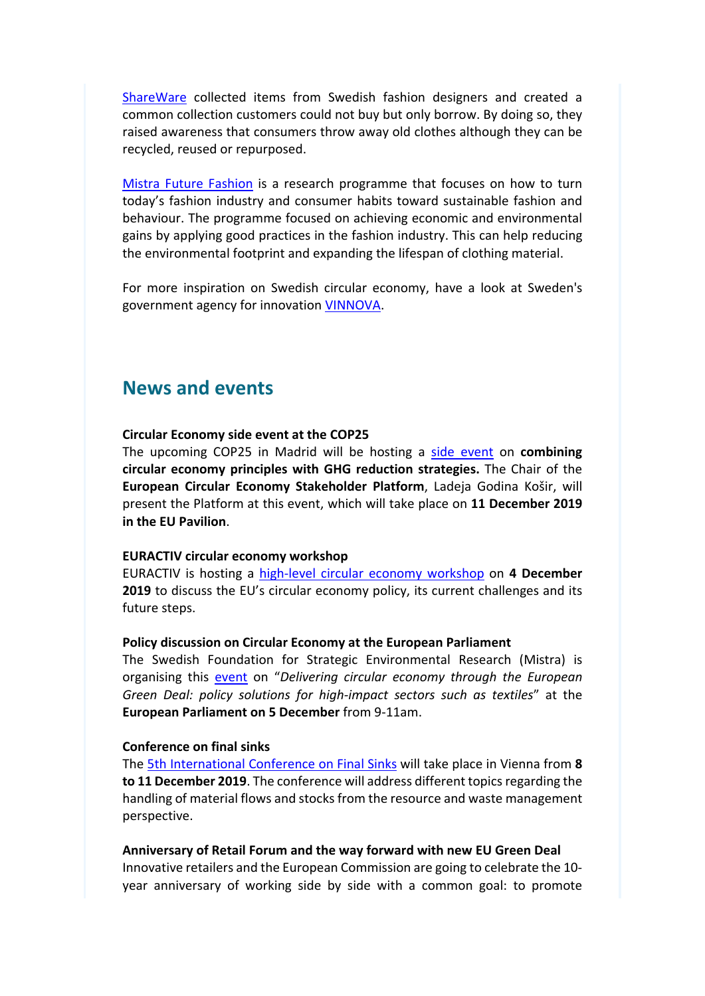[ShareWare](https://circulareconomy.europa.eu/platform/en/good-practices/sharewear-showed-340000-consumers-fashion-can-be-borrowed-not-only-bought) collected items from Swedish fashion designers and created a common collection customers could not buy but only borrow. By doing so, they raised awareness that consumers throw away old clothes although they can be recycled, reused or repurposed.

[Mistra Future Fashion](https://circulareconomy.europa.eu/platform/en/good-practices/circular-new-black-research-program-towards-sustainable-fashion-industry) is a research programme that focuses on how to turn today's fashion industry and consumer habits toward sustainable fashion and behaviour. The programme focused on achieving economic and environmental gains by applying good practices in the fashion industry. This can help reducing the environmental footprint and expanding the lifespan of clothing material.

For more inspiration on Swedish circular economy, have a look at Sweden's government agency for innovation [VINNOVA.](https://www.vinnova.se/en)

### **News and events**

### **Circular Economy side event at the COP25**

The upcoming COP25 in Madrid will be hosting a [side event](https://circulareconomy.europa.eu/platform/en/news-and-events/all-news/event-cop25-combining-circular-economy-principles-ghg-reduction-strategies) on **combining circular economy principles with GHG reduction strategies.** The Chair of the **European Circular Economy Stakeholder Platform**, Ladeja Godina Košir, will present the Platform at this event, which will take place on **11 December 2019 in the EU Pavilion**.

### **EURACTIV circular economy workshop**

EURACTIV is hosting a [high-level circular economy workshop](https://circulareconomy.europa.eu/platform/en/news-and-events/all-events/towards-sustainable-economy-how-make-circular-economy-business-model-eu) on **4 December 2019** to discuss the EU's circular economy policy, its current challenges and its future steps.

#### **Policy discussion on Circular Economy at the European Parliament**

The Swedish Foundation for Strategic Environmental Research (Mistra) is organising this [event](https://circulareconomy.europa.eu/platform/en/news-and-events/all-events/delivering-circular-economy-through-european-green-deal) on "*Delivering circular economy through the European Green Deal: policy solutions for high-impact sectors such as textiles*" at the **European Parliament on 5 December** from 9-11am.

### **Conference on final sinks**

The [5th International Conference on Final Sinks](https://circulareconomy.europa.eu/platform/en/news-and-events/all-events/5th-international-conference-final-sinks) will take place in Vienna from **8 to 11 December 2019**. The conference will address different topics regarding the handling of material flows and stocks from the resource and waste management perspective.

#### **Anniversary of Retail Forum and the way forward with new EU Green Deal**

Innovative retailers and the European Commission are going to celebrate the 10 year anniversary of working side by side with a common goal: to promote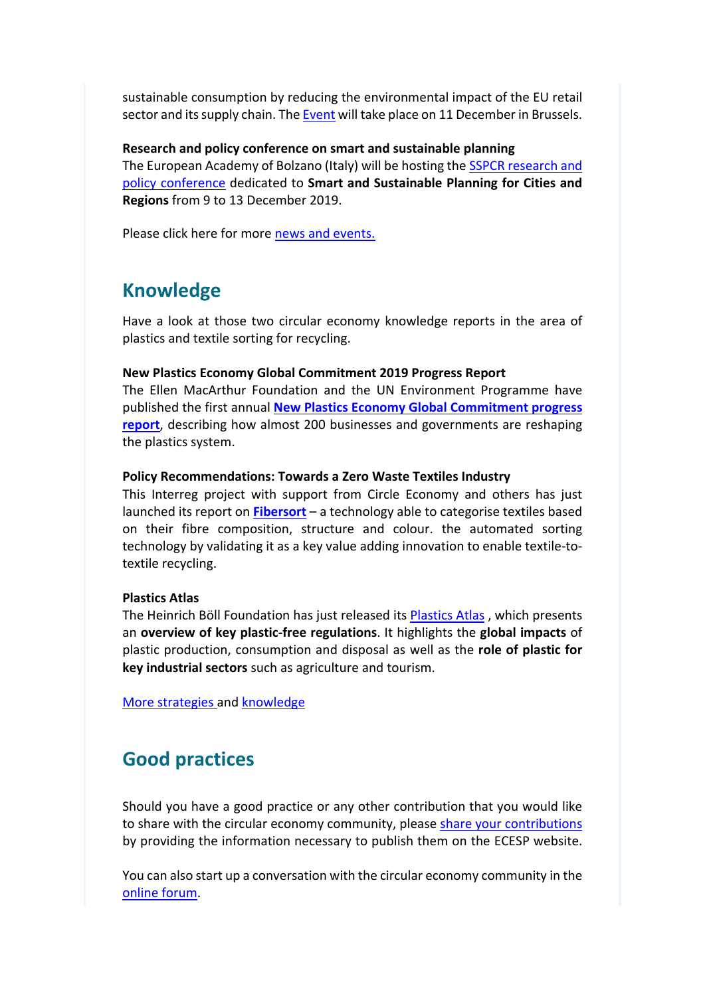sustainable consumption by reducing the environmental impact of the EU retail sector and its supply chain. The [Event](https://circulareconomy.europa.eu/platform/en/node/2449) will take place on 11 December in Brussels.

**Research and policy conference on smart and sustainable planning** The European Academy of Bolzano (Italy) will be hosting the [SSPCR research and](http://cdlink2.eesc.europa.eu/c/4/?T=NzYyODI4NzE%3AcDEtYjE5MzE3LTZhMWVkODFjYmNjNjRlMzk4NTU3OWRjYTQ5NTM1M2Y0%3AYW5uYS5jYW1lcm9uQGVlc2MuZXVyb3BhLmV1%3AY29udGFjdC1jMTRiMTk0ZjY5NTRlOTExODExMzAwNTA1NmEwNDNlYS1lNzZjZGNhZDMyNTU0MmY4OGIyN2QwZGI3NmVkZDBmNg%3AZmFsc2U%3AMTE%3A%3AaHR0cHM6Ly9jaXJjdWxhcmVjb25vbXkuZXVyb3BhLmV1L3BsYXRmb3JtL2VuL25ld3MtYW5kLWV2ZW50cy9hbGwtZXZlbnRzLzNyZC1pbnRlcm5hdGlvbmFsLWNvbmZlcmVuY2Utc21hcnQtYW5kLXN1c3RhaW5hYmxlLXBsYW5uaW5nLWNpdGllcy1hbmQtcmVnaW9ucz9fY2xkZWU9WVc1dVlTNWpZVzFsY205dVFHVmxjMk11WlhWeWIzQmhMbVYxJnJlY2lwaWVudGlkPWNvbnRhY3QtYzE0YjE5NGY2OTU0ZTkxMTgxMTMwMDUwNTZhMDQzZWEtZTc2Y2RjYWQzMjU1NDJmODhiMjdkMGRiNzZlZGQwZjYmZXNpZD0xYmVlMTI5Yy02NzAxLWVhMTEtODExNi0wMDUwNTZhMDQzZWE&K=fj4gjMfCqlmH0CRI5KO5lA)  [policy conference](http://cdlink2.eesc.europa.eu/c/4/?T=NzYyODI4NzE%3AcDEtYjE5MzE3LTZhMWVkODFjYmNjNjRlMzk4NTU3OWRjYTQ5NTM1M2Y0%3AYW5uYS5jYW1lcm9uQGVlc2MuZXVyb3BhLmV1%3AY29udGFjdC1jMTRiMTk0ZjY5NTRlOTExODExMzAwNTA1NmEwNDNlYS1lNzZjZGNhZDMyNTU0MmY4OGIyN2QwZGI3NmVkZDBmNg%3AZmFsc2U%3AMTE%3A%3AaHR0cHM6Ly9jaXJjdWxhcmVjb25vbXkuZXVyb3BhLmV1L3BsYXRmb3JtL2VuL25ld3MtYW5kLWV2ZW50cy9hbGwtZXZlbnRzLzNyZC1pbnRlcm5hdGlvbmFsLWNvbmZlcmVuY2Utc21hcnQtYW5kLXN1c3RhaW5hYmxlLXBsYW5uaW5nLWNpdGllcy1hbmQtcmVnaW9ucz9fY2xkZWU9WVc1dVlTNWpZVzFsY205dVFHVmxjMk11WlhWeWIzQmhMbVYxJnJlY2lwaWVudGlkPWNvbnRhY3QtYzE0YjE5NGY2OTU0ZTkxMTgxMTMwMDUwNTZhMDQzZWEtZTc2Y2RjYWQzMjU1NDJmODhiMjdkMGRiNzZlZGQwZjYmZXNpZD0xYmVlMTI5Yy02NzAxLWVhMTEtODExNi0wMDUwNTZhMDQzZWE&K=fj4gjMfCqlmH0CRI5KO5lA) dedicated to **Smart and Sustainable Planning for Cities and Regions** from 9 to 13 December 2019.

Please click here for more [news and events.](http://cdlink2.eesc.europa.eu/c/4/?T=NzYyODI4NzE%3AcDEtYjE5MzE3LTZhMWVkODFjYmNjNjRlMzk4NTU3OWRjYTQ5NTM1M2Y0%3AYW5uYS5jYW1lcm9uQGVlc2MuZXVyb3BhLmV1%3AY29udGFjdC1jMTRiMTk0ZjY5NTRlOTExODExMzAwNTA1NmEwNDNlYS1lNzZjZGNhZDMyNTU0MmY4OGIyN2QwZGI3NmVkZDBmNg%3AZmFsc2U%3AMTI%3A%3AaHR0cHM6Ly9jaXJjdWxhcmVjb25vbXkuZXVyb3BhLmV1L3BsYXRmb3JtL2VuL25ld3MtYW5kLWV2ZW50cz9fY2xkZWU9YkdGMWNtRXVZbkp2YjIxbWFXVnNaRUJsWlhOakxtVjFjbTl3WVM1bGRRJTNkJTNkJnJlY2lwaWVudGlkPWNvbnRhY3QtM2MyYWM3ZGJkZTA2ZTgxMTgxMTMwMDUwNTZhMDQzZWEtYzMzNWMyNDg4MTMyNDZlZWJhZDk2N2YzNWI5Njg4Y2UmZXNpZD0wNmMzZTA3Ny0xZWZhLWU4MTEtODExMy0wMDUwNTZhMDQzZWEmdXJsaWQ9MTAmX2NsZGVlPVlXNXVZUzVqWVcxbGNtOXVRR1ZsYzJNdVpYVnliM0JoTG1WMSZyZWNpcGllbnRpZD1jb250YWN0LWMxNGIxOTRmNjk1NGU5MTE4MTEzMDA1MDU2YTA0M2VhLWU3NmNkY2FkMzI1NTQyZjg4YjI3ZDBkYjc2ZWRkMGY2JmVzaWQ9MWJlZTEyOWMtNjcwMS1lYTExLTgxMTYtMDA1MDU2YTA0M2Vh&K=IBJo98G_iWlLgjGcxYmW-A)

## **Knowledge**

Have a look at those two circular economy knowledge reports in the area of plastics and textile sorting for recycling.

### **New Plastics Economy Global Commitment 2019 Progress Report**

The Ellen MacArthur Foundation and the UN Environment Programme have published the first annual **[New Plastics Economy Global Commitment progress](https://circulareconomy.europa.eu/platform/en/knowledge#node-2425)  [report](https://circulareconomy.europa.eu/platform/en/knowledge#node-2425)**, describing how almost 200 businesses and governments are reshaping the plastics system.

### **Policy Recommendations: Towards a Zero Waste Textiles Industry**

This Interreg project with support from Circle Economy and others has just launched its report on **[Fibersort](https://circulareconomy.europa.eu/platform/en/knowledge#node-2435)** – a technology able to categorise textiles based on their fibre composition, structure and colour. the automated sorting technology by validating it as a key value adding innovation to enable textile-totextile recycling.

### **Plastics Atlas**

The Heinrich Böll Foundation has just released its [Plastics Atlas](https://circulareconomy.europa.eu/platform/en/knowledge/facts-and-figures-about-plastic-and-plastic-pollution-plastic-atlas-2019) , which presents an **overview of key plastic-free regulations**. It highlights the **global impacts** of plastic production, consumption and disposal as well as the **role of plastic for key industrial sectors** such as agriculture and tourism.

[More strategies a](http://cdlink2.eesc.europa.eu/c/4/?T=NzYyODI4NzE%3AcDEtYjE5MzE3LTZhMWVkODFjYmNjNjRlMzk4NTU3OWRjYTQ5NTM1M2Y0%3AYW5uYS5jYW1lcm9uQGVlc2MuZXVyb3BhLmV1%3AY29udGFjdC1jMTRiMTk0ZjY5NTRlOTExODExMzAwNTA1NmEwNDNlYS1lNzZjZGNhZDMyNTU0MmY4OGIyN2QwZGI3NmVkZDBmNg%3AZmFsc2U%3AMTY%3A%3AaHR0cHM6Ly9jaXJjdWxhcmVjb25vbXkuZXVyb3BhLmV1L3BsYXRmb3JtL2VuL3N0cmF0ZWdpZXM_X2NsZGVlPWJHRjFjbUV1WW5KdmIyMW1hV1ZzWkVCbFpYTmpMbVYxY205d1lTNWxkUSUzZCUzZCZyZWNpcGllbnRpZD1jb250YWN0LTNjMmFjN2RiZGUwNmU4MTE4MTEzMDA1MDU2YTA0M2VhLWMzMzVjMjQ4ODEzMjQ2ZWViYWQ5NjdmMzViOTY4OGNlJmVzaWQ9MDZjM2UwNzctMWVmYS1lODExLTgxMTMtMDA1MDU2YTA0M2VhJnVybGlkPTEzJl9jbGRlZT1ZVzV1WVM1allXMWxjbTl1UUdWbGMyTXVaWFZ5YjNCaExtVjEmcmVjaXBpZW50aWQ9Y29udGFjdC1jMTRiMTk0ZjY5NTRlOTExODExMzAwNTA1NmEwNDNlYS1lNzZjZGNhZDMyNTU0MmY4OGIyN2QwZGI3NmVkZDBmNiZlc2lkPTFiZWUxMjljLTY3MDEtZWExMS04MTE2LTAwNTA1NmEwNDNlYQ&K=jQdGdwiBW2_coJ5koAMTQg)nd [knowledge](http://cdlink2.eesc.europa.eu/c/4/?T=NzYyODI4NzE%3AcDEtYjE5MzE3LTZhMWVkODFjYmNjNjRlMzk4NTU3OWRjYTQ5NTM1M2Y0%3AYW5uYS5jYW1lcm9uQGVlc2MuZXVyb3BhLmV1%3AY29udGFjdC1jMTRiMTk0ZjY5NTRlOTExODExMzAwNTA1NmEwNDNlYS1lNzZjZGNhZDMyNTU0MmY4OGIyN2QwZGI3NmVkZDBmNg%3AZmFsc2U%3AMTc%3A%3AaHR0cHM6Ly9jaXJjdWxhcmVjb25vbXkuZXVyb3BhLmV1L3BsYXRmb3JtL2VuL2tub3dsZWRnZT9fY2xkZWU9YkdGMWNtRXVZbkp2YjIxbWFXVnNaRUJsWlhOakxtVjFjbTl3WVM1bGRRJTNkJTNkJnJlY2lwaWVudGlkPWNvbnRhY3QtM2MyYWM3ZGJkZTA2ZTgxMTgxMTMwMDUwNTZhMDQzZWEtYzMzNWMyNDg4MTMyNDZlZWJhZDk2N2YzNWI5Njg4Y2UmZXNpZD0wNmMzZTA3Ny0xZWZhLWU4MTEtODExMy0wMDUwNTZhMDQzZWEmdXJsaWQ9MTQmX2NsZGVlPVlXNXVZUzVqWVcxbGNtOXVRR1ZsYzJNdVpYVnliM0JoTG1WMSZyZWNpcGllbnRpZD1jb250YWN0LWMxNGIxOTRmNjk1NGU5MTE4MTEzMDA1MDU2YTA0M2VhLWU3NmNkY2FkMzI1NTQyZjg4YjI3ZDBkYjc2ZWRkMGY2JmVzaWQ9MWJlZTEyOWMtNjcwMS1lYTExLTgxMTYtMDA1MDU2YTA0M2Vh&K=tb1zDk7ga1NgYL7vr0-hLw)

# **Good practices**

Should you have a good practice or any other contribution that you would like to share with the circular economy community, please [share your contributions](http://cdlink2.eesc.europa.eu/c/4/?T=NzYyODI4NzE%3AcDEtYjE5MzE3LTZhMWVkODFjYmNjNjRlMzk4NTU3OWRjYTQ5NTM1M2Y0%3AYW5uYS5jYW1lcm9uQGVlc2MuZXVyb3BhLmV1%3AY29udGFjdC1jMTRiMTk0ZjY5NTRlOTExODExMzAwNTA1NmEwNDNlYS1lNzZjZGNhZDMyNTU0MmY4OGIyN2QwZGI3NmVkZDBmNg%3AZmFsc2U%3AMTg%3A%3AaHR0cHM6Ly9jaXJjdWxhcmVjb25vbXkuZXVyb3BhLmV1L3BsYXRmb3JtL2VuL3N1Ym1pdC1jb250ZW50LTA_X2NsZGVlPWJHRjFjbUV1WW5KdmIyMW1hV1ZzWkVCbFpYTmpMbVYxY205d1lTNWxkUSUzZCUzZCZyZWNpcGllbnRpZD1jb250YWN0LTNjMmFjN2RiZGUwNmU4MTE4MTEzMDA1MDU2YTA0M2VhLTMyMjdjZTI2MWM1YTRiMGY5ODIwODUwNTZhNmYyYzYxJmVzaWQ9ODVkMzc3MmQtYTI2NS1lOTExLTgxMTMtMDA1MDU2YTA0M2VhJl9jbGRlZT1hbUZ1YVc1bExtSnZjbWRBWldWell5NWxkWEp2Y0dFdVpYVSUzZCZyZWNpcGllbnRpZD1jb250YWN0LTczOGNlNzQwOTNhZWUzMTFhZGRhMDA1MDU2YTA1MDcwLWI2ZjllNzZiM2VjMDRjN2M4OTY4Zjk2MGE3MWE2ZWNmJmVzaWQ9MDFkMDk1MjgtNzFkNC1lOTExLTgxMTYtMDA1MDU2YTA0M2VhJl9jbGRlZT1ZVzV1WVM1allXMWxjbTl1UUdWbGMyTXVaWFZ5YjNCaExtVjEmcmVjaXBpZW50aWQ9Y29udGFjdC1jMTRiMTk0ZjY5NTRlOTExODExMzAwNTA1NmEwNDNlYS1lNzZjZGNhZDMyNTU0MmY4OGIyN2QwZGI3NmVkZDBmNiZlc2lkPTFiZWUxMjljLTY3MDEtZWExMS04MTE2LTAwNTA1NmEwNDNlYQ&K=7vYLV7_Czv-olYFGYsQb8w)  by providing the information necessary to publish them on the ECESP website.

You can also start up a conversation with the circular economy community in th[e](http://cdlink2.eesc.europa.eu/c/4/?T=NzYyODI4NzE%3AcDEtYjE5MzE3LTZhMWVkODFjYmNjNjRlMzk4NTU3OWRjYTQ5NTM1M2Y0%3AYW5uYS5jYW1lcm9uQGVlc2MuZXVyb3BhLmV1%3AY29udGFjdC1jMTRiMTk0ZjY5NTRlOTExODExMzAwNTA1NmEwNDNlYS1lNzZjZGNhZDMyNTU0MmY4OGIyN2QwZGI3NmVkZDBmNg%3AZmFsc2U%3AMTk%3A%3AaHR0cHM6Ly9jaXJjdWxhcmVjb25vbXkuZXVyb3BhLmV1L3BsYXRmb3JtL2VuL2RpYWxvZ3VlL2Rpc2N1c3Npb25zP19jbGRlZT1hbUZ1YVc1bExtSnZjbWRBWldWell5NWxkWEp2Y0dFdVpYVSUzZCZyZWNpcGllbnRpZD1jb250YWN0LTczOGNlNzQwOTNhZWUzMTFhZGRhMDA1MDU2YTA1MDcwLWI2ZjllNzZiM2VjMDRjN2M4OTY4Zjk2MGE3MWE2ZWNmJmVzaWQ9MDFkMDk1MjgtNzFkNC1lOTExLTgxMTYtMDA1MDU2YTA0M2VhJl9jbGRlZT1ZVzV1WVM1allXMWxjbTl1UUdWbGMyTXVaWFZ5YjNCaExtVjEmcmVjaXBpZW50aWQ9Y29udGFjdC1jMTRiMTk0ZjY5NTRlOTExODExMzAwNTA1NmEwNDNlYS1lNzZjZGNhZDMyNTU0MmY4OGIyN2QwZGI3NmVkZDBmNiZlc2lkPTFiZWUxMjljLTY3MDEtZWExMS04MTE2LTAwNTA1NmEwNDNlYQ&K=qVufODSsap5G9vdddRZRcA) [online forum.](http://cdlink2.eesc.europa.eu/c/4/?T=NzYyODI4NzE%3AcDEtYjE5MzE3LTZhMWVkODFjYmNjNjRlMzk4NTU3OWRjYTQ5NTM1M2Y0%3AYW5uYS5jYW1lcm9uQGVlc2MuZXVyb3BhLmV1%3AY29udGFjdC1jMTRiMTk0ZjY5NTRlOTExODExMzAwNTA1NmEwNDNlYS1lNzZjZGNhZDMyNTU0MmY4OGIyN2QwZGI3NmVkZDBmNg%3AZmFsc2U%3AMTk%3A%3AaHR0cHM6Ly9jaXJjdWxhcmVjb25vbXkuZXVyb3BhLmV1L3BsYXRmb3JtL2VuL2RpYWxvZ3VlL2Rpc2N1c3Npb25zP19jbGRlZT1hbUZ1YVc1bExtSnZjbWRBWldWell5NWxkWEp2Y0dFdVpYVSUzZCZyZWNpcGllbnRpZD1jb250YWN0LTczOGNlNzQwOTNhZWUzMTFhZGRhMDA1MDU2YTA1MDcwLWI2ZjllNzZiM2VjMDRjN2M4OTY4Zjk2MGE3MWE2ZWNmJmVzaWQ9MDFkMDk1MjgtNzFkNC1lOTExLTgxMTYtMDA1MDU2YTA0M2VhJl9jbGRlZT1ZVzV1WVM1allXMWxjbTl1UUdWbGMyTXVaWFZ5YjNCaExtVjEmcmVjaXBpZW50aWQ9Y29udGFjdC1jMTRiMTk0ZjY5NTRlOTExODExMzAwNTA1NmEwNDNlYS1lNzZjZGNhZDMyNTU0MmY4OGIyN2QwZGI3NmVkZDBmNiZlc2lkPTFiZWUxMjljLTY3MDEtZWExMS04MTE2LTAwNTA1NmEwNDNlYQ&K=qVufODSsap5G9vdddRZRcA)